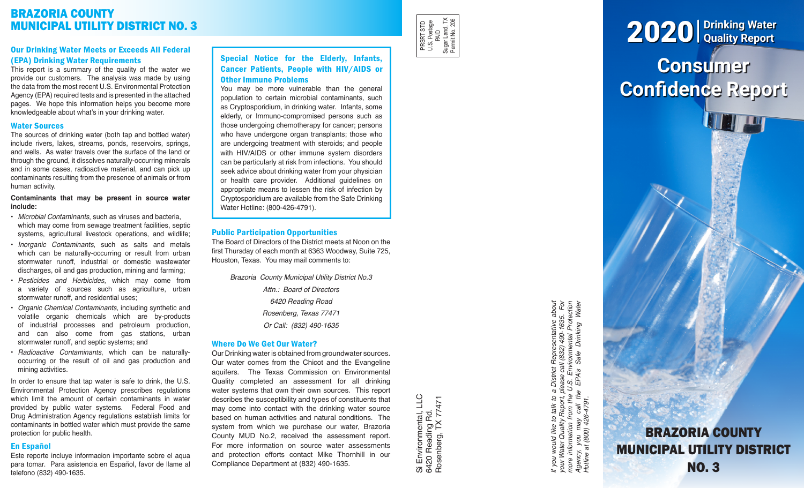# BRAZORIA COUNTY MUNICIPAL UTILITY DISTRICT NO. 3

# Our Drinking Water Meets or Exceeds All Federal (EPA) Drinking Water Requirements

This report is a summary of the quality of the water we provide our customers. The analysis was made by using the data from the most recent U.S. Environmental Protection Agency (EPA) required tests and is presented in the attached pages. We hope this information helps you become more knowledgeable about what's in your drinking water.

## Water Sources

The sources of drinking water (both tap and bottled water) include rivers, lakes, streams, ponds, reservoirs, springs, and wells. As water travels over the surface of the land or through the ground, it dissolves naturally-occurring minerals and in some cases, radioactive material, and can pick up contaminants resulting from the presence of animals or from human activity.

#### **Contaminants that may be present in source water include:**

- *Microbial Contaminants*, such as viruses and bacteria, which may come from sewage treatment facilities, septic systems, agricultural livestock operations, and wildlife;
- *Inorganic Contaminants*, such as salts and metals which can be naturally-occurring or result from urban stormwater runoff, industrial or domestic wastewater discharges, oil and gas production, mining and farming;
- *Pesticides and Herbicides*, which may come from a variety of sources such as agriculture, urban stormwater runoff, and residential uses;
- *Organic Chemical Contaminants*, including synthetic and volatile organic chemicals which are by-products of industrial processes and petroleum production, and can also come from gas stations, urban stormwater runoff, and septic systems; and
- *Radioactive Contaminants*, which can be naturallyoccurring or the result of oil and gas production and mining activities.

In order to ensure that tap water is safe to drink, the U.S. Environmental Protection Agency prescribes regulations which limit the amount of certain contaminants in water provided by public water systems. Federal Food and Drug Administration Agency regulations establish limits for contaminants in bottled water which must provide the same protection for public health.

# En Español

Este reporte incluye informacion importante sobre el aqua para tomar. Para asistencia en Español, favor de llame al telefono (832) 490-1635.

# Special Notice for the Elderly, Infants, Cancer Patients, People with HIV/AIDS or Other Immune Problems

You may be more vulnerable than the general population to certain microbial contaminants, such as Cryptosporidium, in drinking water. Infants, some elderly, or Immuno-compromised persons such as those undergoing chemotherapy for cancer; persons who have undergone organ transplants; those who are undergoing treatment with steroids; and people with HIV/AIDS or other immune system disorders can be particularly at risk from infections. You should seek advice about drinking water from your physician or health care provider. Additional guidelines on appropriate means to lessen the risk of infection by Cryptosporidium are available from the Safe Drinking Water Hotline: (800-426-4791).

## Public Participation Opportunities

The Board of Directors of the District meets at Noon on the first Thursday of each month at 6363 Woodway, Suite 725, Houston, Texas. You may mail comments to:

> *Brazoria County Municipal Utility District No.3 Attn.: Board of Directors 6420 Reading Road Rosenberg, Texas 77471 Or Call: (832) 490-1635*

# Where Do We Get Our Water?

Our Drinking water is obtained from groundwater sources. Our water comes from the Chicot and the Evangeline aquifers. The Texas Commission on Environmental Quality completed an assessment for all drinking water systems that own their own sources. This report describes the susceptibility and types of constituents that may come into contact with the drinking water source based on human activities and natural conditions. The system from which we purchase our water, Brazoria County MUD No.2, received the assessment report. For more information on source water assessments and protection efforts contact Mike Thornhill in our Compliance Department at (832) 490-1635.

Si Environmental, LLC<br>6420 Reading Rd.<br>Rosenberg, TX 77471 Si Environmental, LLC Rosenberg, TX 77471 6420 Reading Rd.

PRSRT STD U.S. Postage PRSRT STD<br>U.S. Postage<br>Sugar Land, TX<br>Sugar Land, TX<br>Permit No. 206 Sugar Land, TX Permit No. 206

> If you would like to talk to a District Representative about<br>your Water Quality Report, please call (832) 490-1635. For<br>more information from the U.S. Environmental Protection<br>Agency, you may call the EPA's Safe Drinking W *If you would like to talk to a District Representative about your Water Quality Report, please call (832) 490-1635. For more information from the U.S. Environmental Protection Agency, you may call the EPA's Safe Drinking Water Hotline at (800) 426-4791.*

# **Consumer Confidence Report** 2020 **Drinking Water Quality Report**

BRAZORIA COUNTY MUNICIPAL UTILITY DISTRICT NO. 3